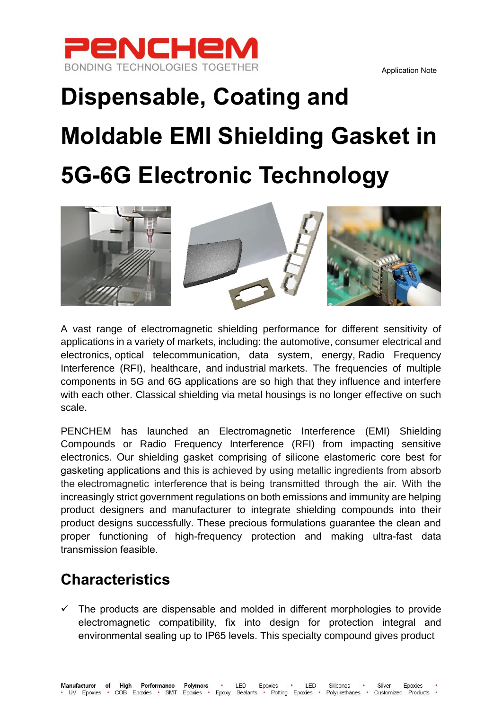

## **Dispensable, Coating and Moldable EMI Shielding Gasket in 5G-6G Electronic Technology**



A vast range of electromagnetic shielding performance for different sensitivity of applications in a variety of markets, including: the [automotive,](https://www.rtpcompany.com/markets/automotive/) consumer [electrical and](https://www.rtpcompany.com/markets/electronics/)  [electronics,](https://www.rtpcompany.com/markets/electronics/) optical telecommunication, data system, [energy,](https://www.rtpcompany.com/markets/energy/) Radio Frequency Interference (RFI), [healthcare,](https://www.rtpcompany.com/markets/healthcare/) and [industrial](https://www.rtpcompany.com/markets/industrial/) markets. The frequencies of multiple components in 5G and 6G applications are so high that they influence and interfere with each other. Classical shielding via metal housings is no longer effective on such scale.

PENCHEM has launched an Electromagnetic Interference (EMI) Shielding Compounds or Radio Frequency Interference (RFI) from impacting sensitive electronics. Our shielding gasket comprising of silicone elastomeric core best for gasketing applications and this is achieved by using metallic ingredients from absorb the electromagnetic interference that is being transmitted through the air. With the increasingly strict government regulations on both emissions and immunity are helping product designers and manufacturer to integrate shielding compounds into their product designs successfully. These precious formulations guarantee the clean and proper functioning of high-frequency protection and making ultra-fast data transmission feasible.

## **Characteristics**

The products are dispensable and molded in different morphologies to provide electromagnetic compatibility, fix into design for protection integral and environmental sealing up to IP65 levels. This specialty compound gives product